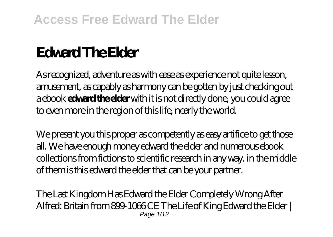# **Edward The Elder**

As recognized, adventure as with ease as experience not quite lesson, amusement, as capably as harmony can be gotten by just checking out a ebook **edward the elder** with it is not directly done, you could agree to even more in the region of this life, nearly the world.

We present you this proper as competently as easy artifice to get those all. We have enough money edward the elder and numerous ebook collections from fictions to scientific research in any way. in the middle of them is this edward the elder that can be your partner.

The Last Kingdom Has Edward the Elder Completely Wrong *After Alfred: Britain from 899-1066 CE The Life of King Edward the Elder |* Page  $1/12$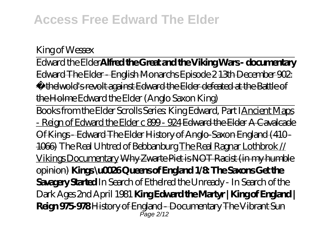#### *King of Wessex*

Edward the Elder**Alfred the Great and the Viking Wars - documentary** Edward The Elder - English Monarchs Episode 2 13th December 902: Æthelwold's revolt against Edward the Elder defeated at the Battle of the Holme Edward the Elder (Anglo Saxon King)

Books from the Elder Scrolls Series: King Edward, Part IAncient Maps - Reign of Edward the Elder c 899 - 924 <del>Edward the Elder A Cavalcade</del> Of Kings - Edward The Elder History of Anglo-Saxon England (410 - 1066) *The Real Uhtred of Bebbanburg* The Real Ragnar Lothbrok // Vikings Documentary Why Zwarte Piet is NOT Racist (in my humble opinion) **Kings \u0026 Queens of England 1/8: The Saxons Get the Savagery Started** *In Search of Ethelred the Unready - In Search of the Dark Ages 2nd April 1981* **King Edward the Martyr | King of England | Reign 975-978** History of England - Documentary The Vibrant Sun Page 2/12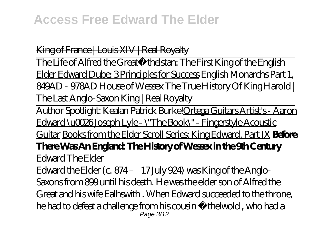King of France | Louis XIV | Real Royalty

The Life of Alfred the Great*Æthelstan: The First King of the English* Elder Edward Dube: 3 Principles for Success English Monarchs Part 1, 849AD - 978AD House of Wessex The True History Of King Harold | The Last Anglo-Saxon King | Real Royalty

Author Spotlight: Kealan Patrick Burke!Ortega Guitars Artist's - Aaron Edward \u0026 Joseph Lyle - \"The Book\" - Fingerstyle Acoustic Guitar Books from the Elder Scroll Series: King Edward, Part IX **Before There Was An England: The History of Wessex in the 9th Century** Edward The Elder

Edward the Elder (c. 874 – 17 July 924) was King of the Anglo-Saxons from 899 until his death. He was the elder son of Alfred the Great and his wife Ealhswith . When Edward succeeded to the throne, he had to defeat a challenge from his cousin Æthelwold , who had a Page 3/12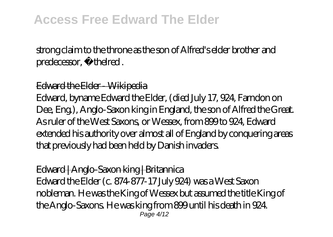strong claim to the throne as the son of Alfred's elder brother and predecessor, Æthelred .

#### Edward the Elder - Wikipedia

Edward, byname Edward the Elder, (died July 17, 924, Farndon on Dee, Eng.), Anglo-Saxon king in England, the son of Alfred the Great. As ruler of the West Saxons, or Wessex, from 899 to 924, Edward extended his authority over almost all of England by conquering areas that previously had been held by Danish invaders.

Edward | Anglo-Saxon king | Britannica Edward the Elder (c. 874-877-17 July 924) was a West Saxon nobleman. He was the King of Wessex but assumed the title King of the Anglo-Saxons. He was king from 899 until his death in 924. Page 4/12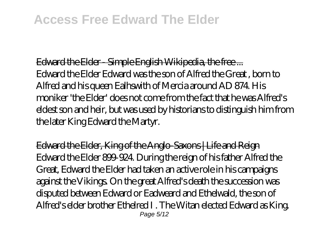Edward the Elder - Simple English Wikipedia, the free ... Edward the Elder Edward was the son of Alfred the Great , born to Alfred and his queen Ealhswith of Mercia around AD 874. His moniker 'the Elder' does not come from the fact that he was Alfred's eldest son and heir, but was used by historians to distinguish him from the later King Edward the Martyr.

Edward the Elder, King of the Anglo-Saxons | Life and Reign Edward the Elder 899-924. During the reign of his father Alfred the Great, Edward the Elder had taken an active role in his campaigns against the Vikings. On the great Alfred's death the succession was disputed between Edward or Eadweard and Ethelwald, the son of Alfred's elder brother Ethelred I . The Witan elected Edward as King. Page 5/12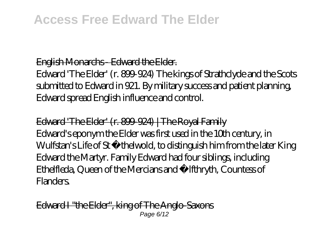#### English Monarchs - Edward the Elder.

Edward 'The Elder' (r. 899-924) The kings of Strathclyde and the Scots submitted to Edward in 921. By military success and patient planning, Edward spread English influence and control.

Edward 'The Elder' (r. 800-924) | The Royal Family Edward's eponym the Elder was first used in the 10th century, in Wulfstan's Life of St Æthelwold, to distinguish him from the later King Edward the Martyr. Family Edward had four siblings, including Ethelfleda, Queen of the Mercians and Ælfthryth, Countess of Flanders.

Edward I "the Elder", king of The Anglo-Saxons Page 6/12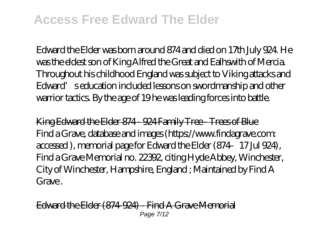Edward the Elder was born around 874 and died on 17th July 924. He was the eldest son of King Alfred the Great and Ealhswith of Mercia. Throughout his childhood England was subject to Viking attacks and Edward' seducation included lessons on swordmanship and other warrior tactics. By the age of 19 he was leading forces into battle.

King Edward the Elder 874 - 924 Family Tree - Trees of Blue Find a Grave, database and images (https://www.findagrave.com: accessed ), memorial page for Edward the Elder (874–17 Jul 924), Find a Grave Memorial no. 22392, citing Hyde Abbey, Winchester, City of Winchester, Hampshire, England ; Maintained by Find A Grave.

Edward the Elder (874-924) - Find A Grave Memorial Page 7/12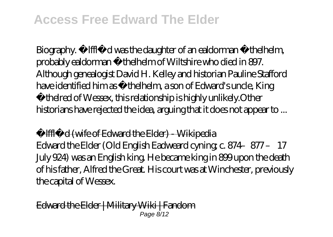Biography. Ælfflæd was the daughter of an ealdorman Æthelhelm, probably ealdorman Æthelhelm of Wiltshire who died in 897. Although genealogist David H. Kelley and historian Pauline Stafford have identified him as Æthelhelm, a son of Edward's uncle, King Æthelred of Wessex, this relationship is highly unlikely.Other historians have rejected the idea, arguing that it does not appear to ...

Ælfflæd (wife of Edward the Elder) - Wikipedia

Edward the Elder (Old English Eadweard cyning; c. 874–877 – 17 July 924) was an English king. He became king in 899 upon the death of his father, Alfred the Great. His court was at Winchester, previously the capital of Wessex.

Edward the Elder | Military Wiki | Fandom Page 8/12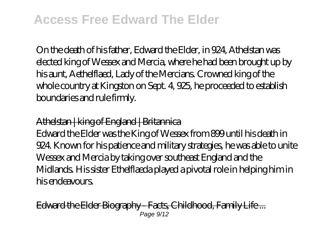On the death of his father, Edward the Elder, in 924, Athelstan was elected king of Wessex and Mercia, where he had been brought up by his aunt, Aethelflaed, Lady of the Mercians. Crowned king of the whole country at Kingston on Sept. 4, 925, he proceeded to establish boundaries and rule firmly.

#### Athelstan | king of England | Britannica

Edward the Elder was the King of Wessex from 899 until his death in 924. Known for his patience and military strategies, he was able to unite Wessex and Mercia by taking over southeast England and the Midlands. His sister Ethelflaeda played a pivotal role in helping him in his endeavours.

Edward the Elder Biography - Facts, Childhood, Family Life ... Page 9/12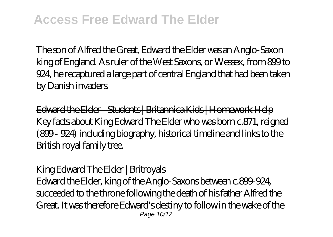The son of Alfred the Great, Edward the Elder was an Anglo-Saxon king of England. As ruler of the West Saxons, or Wessex, from 899 to 924, he recaptured a large part of central England that had been taken by Danish invaders.

Edward the Elder - Students | Britannica Kids | Homework Help Key facts about King Edward The Elder who was born c.871, reigned (899 - 924) including biography, historical timeline and links to the British royal family tree.

#### King Edward The Elder | Britroyals

Edward the Elder, king of the Anglo-Saxons between c.899-924, succeeded to the throne following the death of his father Alfred the Great. It was therefore Edward's destiny to follow in the wake of the Page 10/12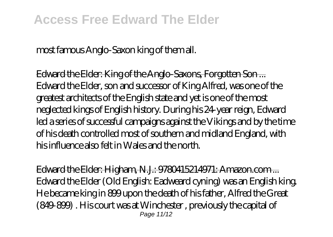most famous Anglo-Saxon king of them all.

Edward the Elder: King of the Anglo-Saxons, Forgotten Son ... Edward the Elder, son and successor of King Alfred, was one of the greatest architects of the English state and yet is one of the most neglected kings of English history. During his 24-year reign, Edward led a series of successful campaigns against the Vikings and by the time of his death controlled most of southern and midland England, with his influence also felt in Wales and the north.

Edward the Elder: Higham, N.J.: 9780415214971: Amazon.com ... Edward the Elder (Old English: Eadweard cyning) was an English king. He became king in 899 upon the death of his father, Alfred the Great (849-899) . His court was at Winchester , previously the capital of Page 11/12